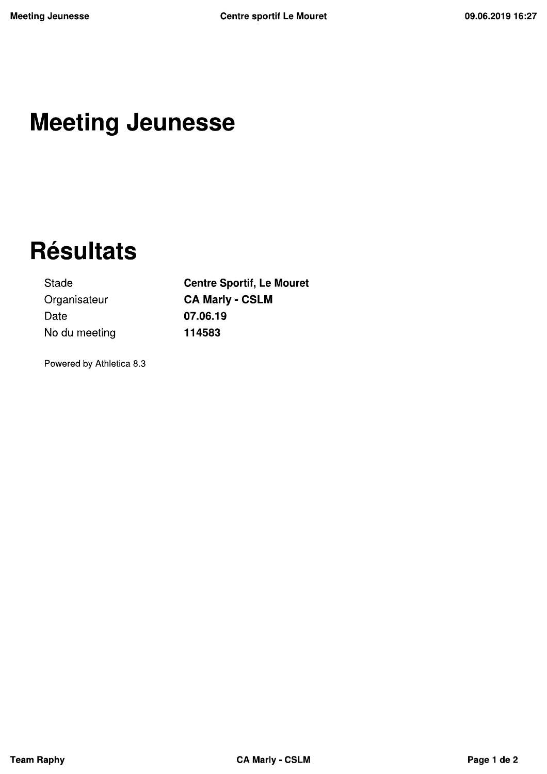## **Meeting Jeunesse**

# **Résultats**

Stade Organisateur Date No du meeting **Centre Sportif, Le Mouret CA Marly - CSLM** 07.06.19 114583

Powered by Athletica 8.3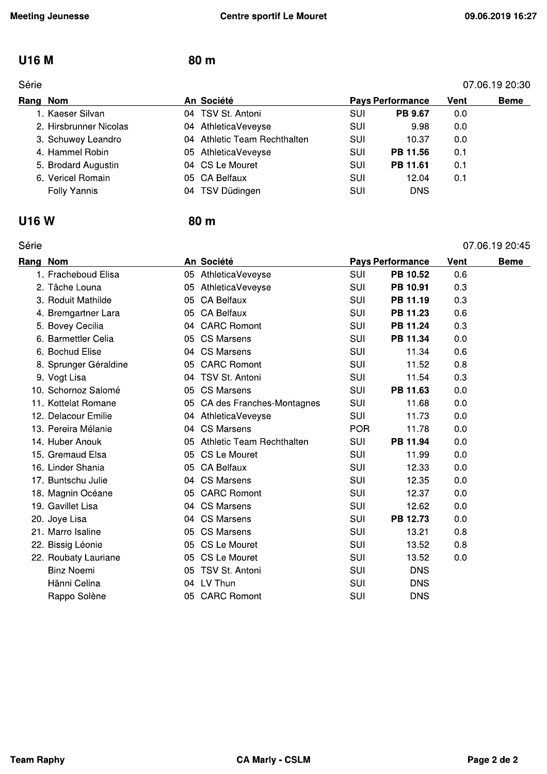#### **U16 M**

#### Série

#### 07.06.19 20:30 Rang Nom An Société **Pays Performance** Vent **Beme** 1. Kaeser Silvan 04 TSV St. Antoni SUI PB 9.67  $0.0$ SUI  $0.0$ 2. Hirsbrunner Nicolas 04 AthleticaVeveyse 9.98 04 Athletic Team Rechthalten 3. Schuwey Leandro **SUI**  $0.0$ 10.37 PB 11.56  $0.1$ 4. Hammel Robin 05 AthleticaVeveyse **SUI** 5. Brodard Augustin 04 CS Le Mouret SUI PB 11.61  $0.1$ 6. Vericel Romain 05 CA Belfaux SUI 12.04  $0.1$ **Folly Yannis**

#### **U16W**

#### Série

# 04 TSV Düdingen SUI **DNS**

#### 80 m

80 m

| Série    |                       |    |                              |            |                         |      | 07.06.19 20:45 |
|----------|-----------------------|----|------------------------------|------------|-------------------------|------|----------------|
| Rang Nom |                       |    | An Société                   |            | <b>Pays Performance</b> | Vent | <b>Beme</b>    |
|          | 1. Fracheboud Elisa   | 05 | AthleticaVeveyse             | SUI        | PB 10.52                | 0.6  |                |
|          | 2. Tâche Louna        |    | 05 AthleticaVeveyse          | <b>SUI</b> | PB 10.91                | 0.3  |                |
|          | 3. Roduit Mathilde    | 05 | <b>CA Belfaux</b>            | SUI        | PB 11.19                | 0.3  |                |
|          | 4. Bremgartner Lara   | 05 | CA Belfaux                   | SUI        | PB 11.23                | 0.6  |                |
|          | 5. Bovey Cecilia      |    | 04 CARC Romont               | SUI        | PB 11.24                | 0.3  |                |
|          | 6. Barmettler Celia   |    | 05 CS Marsens                | <b>SUI</b> | PB 11.34                | 0.0  |                |
|          | 6. Bochud Elise       | 04 | <b>CS Marsens</b>            | SUI        | 11.34                   | 0.6  |                |
|          | 8. Sprunger Géraldine |    | 05 CARC Romont               | SUI        | 11.52                   | 0.8  |                |
|          | 9. Vogt Lisa          |    | 04 TSV St. Antoni            | SUI        | 11.54                   | 0.3  |                |
|          | 10. Schornoz Salomé   |    | 05 CS Marsens                | SUI        | PB 11.63                | 0.0  |                |
|          | 11. Kottelat Romane   |    | 05 CA des Franches-Montagnes | SUI        | 11.68                   | 0.0  |                |
|          | 12. Delacour Emilie   |    | 04 AthleticaVeveyse          | SUI        | 11.73                   | 0.0  |                |
|          | 13. Pereira Mélanie   |    | 04 CS Marsens                | <b>POR</b> | 11.78                   | 0.0  |                |
|          | 14. Huber Anouk       | 05 | Athletic Team Rechthalten    | SUI        | PB 11.94                | 0.0  |                |
|          | 15. Gremaud Elsa      |    | 05 CS Le Mouret              | SUI        | 11.99                   | 0.0  |                |
|          | 16. Linder Shania     |    | 05 CA Belfaux                | SUI        | 12.33                   | 0.0  |                |
|          | 17. Buntschu Julie    | 04 | <b>CS Marsens</b>            | SUI        | 12.35                   | 0.0  |                |
|          | 18. Magnin Océane     |    | 05 CARC Romont               | SUI        | 12.37                   | 0.0  |                |
|          | 19. Gavillet Lisa     |    | 04 CS Marsens                | SUI        | 12.62                   | 0.0  |                |
|          | 20. Joye Lisa         | 04 | <b>CS Marsens</b>            | SUI        | PB 12.73                | 0.0  |                |
|          | 21. Marro Isaline     | 05 | <b>CS Marsens</b>            | SUI        | 13.21                   | 0.8  |                |
|          | 22. Bissig Léonie     |    | 05 CS Le Mouret              | <b>SUI</b> | 13.52                   | 0.8  |                |
|          | 22. Roubaty Lauriane  |    | 05 CS Le Mouret              | SUI        | 13.52                   | 0.0  |                |
|          | <b>Binz Noemi</b>     |    | 05 TSV St. Antoni            | SUI        | <b>DNS</b>              |      |                |
|          | Hänni Celina          |    | 04 LV Thun                   | SUI        | <b>DNS</b>              |      |                |
|          | Rappo Solène          |    | 05 CARC Romont               | SUI        | <b>DNS</b>              |      |                |
|          |                       |    |                              |            |                         |      |                |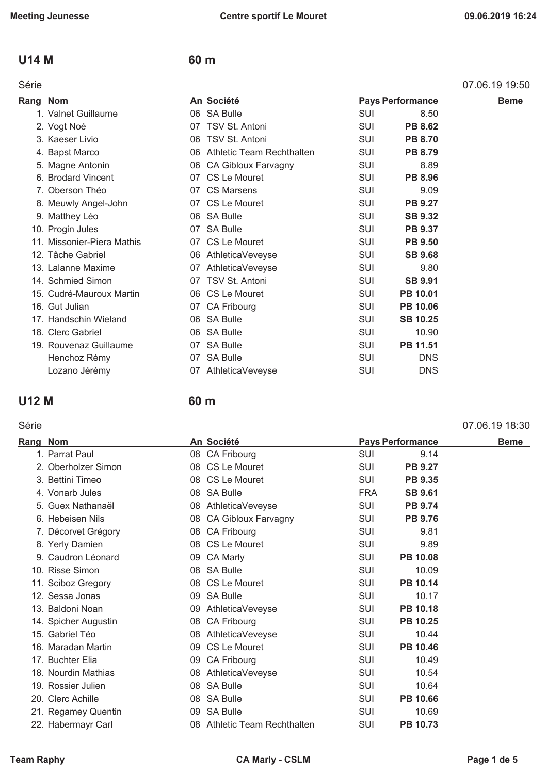#### **U14 M 60 m**

#### Série 07.06.19 19:50

| Rang Nom |                            |    | An Société                   |            | <b>Pays Performance</b> | <b>Beme</b> |
|----------|----------------------------|----|------------------------------|------------|-------------------------|-------------|
|          | 1. Valnet Guillaume        |    | 06 SA Bulle                  | <b>SUI</b> | 8.50                    |             |
|          | 2. Vogt Noé                |    | 07 TSV St. Antoni            | SUI        | <b>PB 8.62</b>          |             |
|          | 3. Kaeser Livio            | 06 | TSV St. Antoni               | SUI        | <b>PB 8.70</b>          |             |
|          | 4. Bapst Marco             |    | 06 Athletic Team Rechthalten | SUI        | <b>PB 8.79</b>          |             |
|          | 5. Magne Antonin           |    | 06 CA Gibloux Farvagny       | SUI        | 8.89                    |             |
|          | 6. Brodard Vincent         |    | 07 CS Le Mouret              | SUI        | <b>PB 8.96</b>          |             |
|          | 7. Oberson Théo            |    | 07 CS Marsens                | SUI        | 9.09                    |             |
|          | 8. Meuwly Angel-John       |    | 07 CS Le Mouret              | SUI        | <b>PB 9.27</b>          |             |
|          | 9. Matthey Léo             |    | 06 SA Bulle                  | SUI        | <b>SB 9.32</b>          |             |
|          | 10. Progin Jules           |    | 07 SA Bulle                  | SUI        | <b>PB 9.37</b>          |             |
|          | 11. Missonier-Piera Mathis |    | 07 CS Le Mouret              | SUI        | <b>PB 9.50</b>          |             |
|          | 12. Tâche Gabriel          |    | 06 AthleticaVeveyse          | SUI        | <b>SB 9.68</b>          |             |
|          | 13. Lalanne Maxime         |    | 07 AthleticaVeveyse          | SUI        | 9.80                    |             |
|          | 14. Schmied Simon          |    | 07 TSV St. Antoni            | SUI        | <b>SB 9.91</b>          |             |
|          | 15. Cudré-Mauroux Martin   |    | 06 CS Le Mouret              | SUI        | PB 10.01                |             |
|          | 16. Gut Julian             |    | 07 CA Fribourg               | SUI        | <b>PB 10.06</b>         |             |
|          | 17. Handschin Wieland      |    | 06 SA Bulle                  | SUI        | <b>SB 10.25</b>         |             |
|          | 18. Clerc Gabriel          |    | 06 SA Bulle                  | SUI        | 10.90                   |             |
|          | 19. Rouvenaz Guillaume     |    | 07 SA Bulle                  | SUI        | PB 11.51                |             |
|          | Henchoz Rémy               | 07 | <b>SA Bulle</b>              | <b>SUI</b> | <b>DNS</b>              |             |
|          | Lozano Jérémy              |    | 07 AthleticaVeveyse          | <b>SUI</b> | <b>DNS</b>              |             |

## **U12 M 60 m**

#### Série 07.06.19 18:30

|                                                                                                                                                                                                                                                                                                                                                                                                                                                                                       |                                                                                                                                                                                                                                                                                                                                                                                                                                                          |                | <b>Beme</b>             |
|---------------------------------------------------------------------------------------------------------------------------------------------------------------------------------------------------------------------------------------------------------------------------------------------------------------------------------------------------------------------------------------------------------------------------------------------------------------------------------------|----------------------------------------------------------------------------------------------------------------------------------------------------------------------------------------------------------------------------------------------------------------------------------------------------------------------------------------------------------------------------------------------------------------------------------------------------------|----------------|-------------------------|
|                                                                                                                                                                                                                                                                                                                                                                                                                                                                                       | SUI                                                                                                                                                                                                                                                                                                                                                                                                                                                      | 9.14           |                         |
|                                                                                                                                                                                                                                                                                                                                                                                                                                                                                       | SUI                                                                                                                                                                                                                                                                                                                                                                                                                                                      | <b>PB 9.27</b> |                         |
|                                                                                                                                                                                                                                                                                                                                                                                                                                                                                       | SUI                                                                                                                                                                                                                                                                                                                                                                                                                                                      | <b>PB 9.35</b> |                         |
|                                                                                                                                                                                                                                                                                                                                                                                                                                                                                       | <b>FRA</b>                                                                                                                                                                                                                                                                                                                                                                                                                                               | <b>SB 9.61</b> |                         |
|                                                                                                                                                                                                                                                                                                                                                                                                                                                                                       | SUI                                                                                                                                                                                                                                                                                                                                                                                                                                                      | <b>PB 9.74</b> |                         |
| 08                                                                                                                                                                                                                                                                                                                                                                                                                                                                                    | <b>SUI</b>                                                                                                                                                                                                                                                                                                                                                                                                                                               | <b>PB 9.76</b> |                         |
|                                                                                                                                                                                                                                                                                                                                                                                                                                                                                       | <b>SUI</b>                                                                                                                                                                                                                                                                                                                                                                                                                                               | 9.81           |                         |
|                                                                                                                                                                                                                                                                                                                                                                                                                                                                                       | SUI                                                                                                                                                                                                                                                                                                                                                                                                                                                      | 9.89           |                         |
|                                                                                                                                                                                                                                                                                                                                                                                                                                                                                       | <b>SUI</b>                                                                                                                                                                                                                                                                                                                                                                                                                                               | PB 10.08       |                         |
|                                                                                                                                                                                                                                                                                                                                                                                                                                                                                       | SUI                                                                                                                                                                                                                                                                                                                                                                                                                                                      | 10.09          |                         |
|                                                                                                                                                                                                                                                                                                                                                                                                                                                                                       | SUI                                                                                                                                                                                                                                                                                                                                                                                                                                                      | PB 10.14       |                         |
| 09                                                                                                                                                                                                                                                                                                                                                                                                                                                                                    | SUI                                                                                                                                                                                                                                                                                                                                                                                                                                                      | 10.17          |                         |
| 09                                                                                                                                                                                                                                                                                                                                                                                                                                                                                    | <b>SUI</b>                                                                                                                                                                                                                                                                                                                                                                                                                                               | PB 10.18       |                         |
|                                                                                                                                                                                                                                                                                                                                                                                                                                                                                       | <b>SUI</b>                                                                                                                                                                                                                                                                                                                                                                                                                                               | PB 10.25       |                         |
| 08                                                                                                                                                                                                                                                                                                                                                                                                                                                                                    | SUI                                                                                                                                                                                                                                                                                                                                                                                                                                                      | 10.44          |                         |
| 09                                                                                                                                                                                                                                                                                                                                                                                                                                                                                    | SUI                                                                                                                                                                                                                                                                                                                                                                                                                                                      | PB 10.46       |                         |
| 09                                                                                                                                                                                                                                                                                                                                                                                                                                                                                    | <b>SUI</b>                                                                                                                                                                                                                                                                                                                                                                                                                                               | 10.49          |                         |
|                                                                                                                                                                                                                                                                                                                                                                                                                                                                                       | <b>SUI</b>                                                                                                                                                                                                                                                                                                                                                                                                                                               | 10.54          |                         |
|                                                                                                                                                                                                                                                                                                                                                                                                                                                                                       | SUI                                                                                                                                                                                                                                                                                                                                                                                                                                                      | 10.64          |                         |
| 08                                                                                                                                                                                                                                                                                                                                                                                                                                                                                    | SUI                                                                                                                                                                                                                                                                                                                                                                                                                                                      | PB 10.66       |                         |
| 09                                                                                                                                                                                                                                                                                                                                                                                                                                                                                    | SUI                                                                                                                                                                                                                                                                                                                                                                                                                                                      | 10.69          |                         |
| 08.                                                                                                                                                                                                                                                                                                                                                                                                                                                                                   | <b>SUI</b>                                                                                                                                                                                                                                                                                                                                                                                                                                               | PB 10.73       |                         |
| Rang Nom<br>1. Parrat Paul<br>2. Oberholzer Simon<br>3. Bettini Timeo<br>4. Vonarb Jules<br>5. Guex Nathanaël<br>6. Hebeisen Nils<br>7. Décorvet Grégory<br>8. Yerly Damien<br>9. Caudron Léonard<br>10. Risse Simon<br>11. Sciboz Gregory<br>12. Sessa Jonas<br>13. Baldoni Noan<br>14. Spicher Augustin<br>15. Gabriel Téo<br>16. Maradan Martin<br>17. Buchter Elia<br>18. Nourdin Mathias<br>19. Rossier Julien<br>20. Clerc Achille<br>21. Regamey Quentin<br>22. Habermayr Carl | An Société<br>08 CA Fribourg<br>08 CS Le Mouret<br>08 CS Le Mouret<br>08 SA Bulle<br>08 AthleticaVeveyse<br>CA Gibloux Farvagny<br>08 CA Fribourg<br>08 CS Le Mouret<br>09 CA Marly<br>08 SA Bulle<br>08 CS Le Mouret<br><b>SA Bulle</b><br>AthleticaVeveyse<br>08 CA Fribourg<br>AthleticaVeveyse<br>CS Le Mouret<br><b>CA Fribourg</b><br>08 AthleticaVeveyse<br>08 SA Bulle<br><b>SA Bulle</b><br><b>SA Bulle</b><br><b>Athletic Team Rechthalten</b> |                | <b>Pays Performance</b> |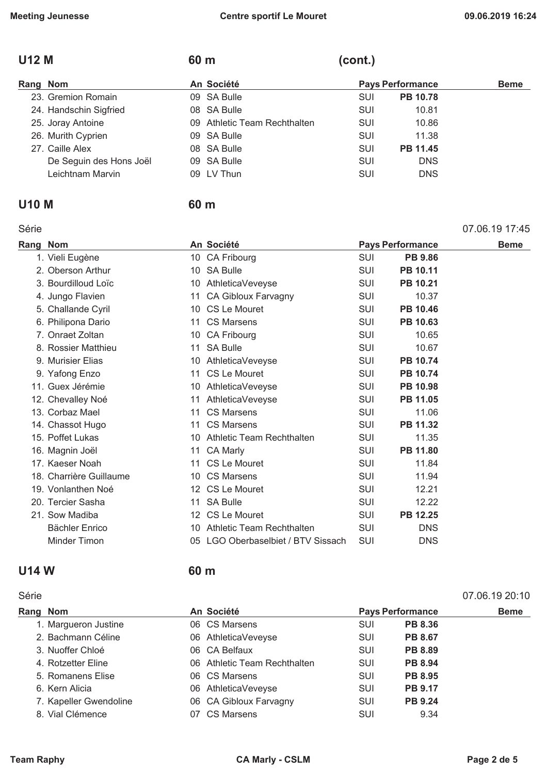#### U12 M 60 m (cont.)

#### Rang Nom **An Société Pays Performance** Beme 23. Gremion Romain **09 SA Bulle 10.78** SUI PB 10.78 24. Handschin Sigfried 08 SA Bulle SUI 10.81 25. Joray Antoine **25. Joray Antoine 09 Athletic Team Rechthalten** SUI 10.86 26. Murith Cyprien **26. Murith Cyprien 11.38** 27. Caille Alex **08 SA Bulle SUI PB 11.45** De Seguin des Hons Joël 09 SA Bulle SUI DNS Leichtnam Marvin **COU DU DISCOUT COUPER COUPER COUPER COUPER CONTAINING** OP LV Thun SUI DISCOUNS

#### **U10 M 60 m**

#### Série 07.06.19 17:45

| Rang Nom                |    | An Société                      |            | <b>Pays Performance</b> | <b>Beme</b> |
|-------------------------|----|---------------------------------|------------|-------------------------|-------------|
| 1. Vieli Eugène         |    | 10 CA Fribourg                  | <b>SUI</b> | <b>PB 9.86</b>          |             |
| 2. Oberson Arthur       |    | 10 SA Bulle                     | SUI        | PB 10.11                |             |
| 3. Bourdilloud Loïc     | 10 | AthleticaVeveyse                | <b>SUI</b> | PB 10.21                |             |
| 4. Jungo Flavien        | 11 | <b>CA Gibloux Farvagny</b>      | SUI        | 10.37                   |             |
| 5. Challande Cyril      |    | 10 CS Le Mouret                 | <b>SUI</b> | PB 10.46                |             |
| 6. Philipona Dario      |    | 11 CS Marsens                   | <b>SUI</b> | <b>PB 10.63</b>         |             |
| 7. Onraet Zoltan        |    | 10 CA Fribourg                  | SUI        | 10.65                   |             |
| 8. Rossier Matthieu     | 11 | <b>SA Bulle</b>                 | SUI        | 10.67                   |             |
| 9. Murisier Elias       |    | 10 AthleticaVeveyse             | <b>SUI</b> | PB 10.74                |             |
| 9. Yafong Enzo          | 11 | CS Le Mouret                    | <b>SUI</b> | PB 10.74                |             |
| 11. Guex Jérémie        | 10 | AthleticaVeveyse                | SUI        | PB 10.98                |             |
| 12. Chevalley Noé       | 11 | AthleticaVeveyse                | SUI        | PB 11.05                |             |
| 13. Corbaz Mael         | 11 | <b>CS Marsens</b>               | <b>SUI</b> | 11.06                   |             |
| 14. Chassot Hugo        | 11 | CS Marsens                      | SUI        | PB 11.32                |             |
| 15. Poffet Lukas        |    | 10 Athletic Team Rechthalten    | <b>SUI</b> | 11.35                   |             |
| 16. Magnin Joël         |    | 11 CA Marly                     | <b>SUI</b> | PB 11.80                |             |
| 17. Kaeser Noah         |    | 11 CS Le Mouret                 | SUI        | 11.84                   |             |
| 18. Charrière Guillaume |    | 10 CS Marsens                   | SUI        | 11.94                   |             |
| 19. Vonlanthen Noé      |    | 12 CS Le Mouret                 | SUI        | 12.21                   |             |
| 20. Tercier Sasha       |    | 11 SA Bulle                     | SUI        | 12.22                   |             |
| 21. Sow Madiba          |    | 12 CS Le Mouret                 | SUI        | PB 12.25                |             |
| Bächler Enrico          | 10 | Athletic Team Rechthalten       | SUI        | <b>DNS</b>              |             |
| Minder Timon            | 05 | LGO Oberbaselbiet / BTV Sissach | SUI        | <b>DNS</b>              |             |
|                         |    |                                 |            |                         |             |

#### **U14 W 60 m**

#### Série 07.06.19 20:10

| Rang Nom               | An Société                   |            | <b>Pays Performance</b> | <b>Beme</b> |
|------------------------|------------------------------|------------|-------------------------|-------------|
| 1. Margueron Justine   | 06 CS Marsens                | <b>SUI</b> | <b>PB 8.36</b>          |             |
| 2. Bachmann Céline     | 06 AthleticaVeveyse          | <b>SUI</b> | <b>PB 8.67</b>          |             |
| 3. Nuoffer Chloé       | 06 CA Belfaux                | SUI        | <b>PB 8.89</b>          |             |
| 4. Rotzetter Eline     | 06 Athletic Team Rechthalten | SUI        | <b>PB 8.94</b>          |             |
| 5. Romanens Elise      | 06 CS Marsens                | SUI        | <b>PB 8.95</b>          |             |
| 6. Kern Alicia         | 06 AthleticaVeveyse          | SUI        | <b>PB 9.17</b>          |             |
| 7. Kapeller Gwendoline | 06 CA Gibloux Farvagny       | SUI        | <b>PB 9.24</b>          |             |
| 8. Vial Clémence       | 07 CS Marsens                | SUI        | 9.34                    |             |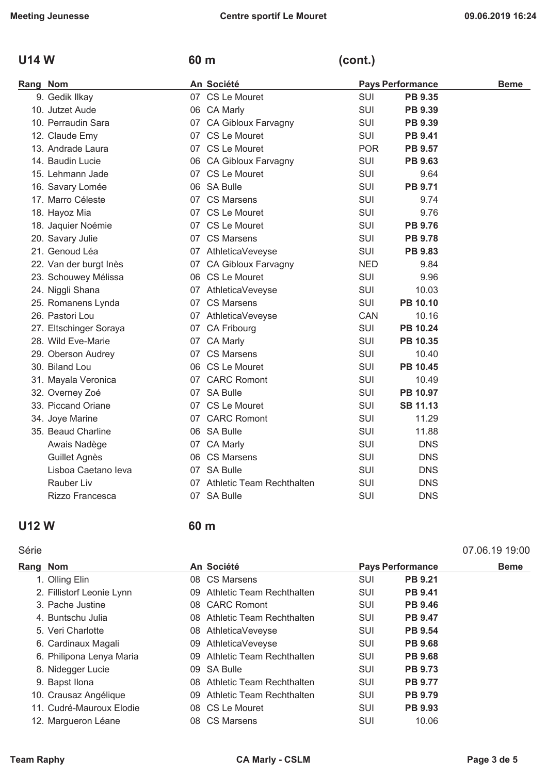## U14 W 60 m (cont.)

| Rang Nom |                        | An Société                   |            | <b>Pays Performance</b> | <b>Beme</b> |
|----------|------------------------|------------------------------|------------|-------------------------|-------------|
|          | 9. Gedik Ilkay         | 07 CS Le Mouret              | <b>SUI</b> | <b>PB 9.35</b>          |             |
|          | 10. Jutzet Aude        | 06 CA Marly                  | <b>SUI</b> | PB 9.39                 |             |
|          | 10. Perraudin Sara     | 07 CA Gibloux Farvagny       | <b>SUI</b> | PB 9.39                 |             |
|          | 12. Claude Emy         | 07 CS Le Mouret              | <b>SUI</b> | <b>PB 9.41</b>          |             |
|          | 13. Andrade Laura      | 07 CS Le Mouret              | <b>POR</b> | <b>PB 9.57</b>          |             |
|          | 14. Baudin Lucie       | 06 CA Gibloux Farvagny       | <b>SUI</b> | <b>PB 9.63</b>          |             |
|          | 15. Lehmann Jade       | 07 CS Le Mouret              | <b>SUI</b> | 9.64                    |             |
|          | 16. Savary Lomée       | 06 SA Bulle                  | <b>SUI</b> | <b>PB 9.71</b>          |             |
|          | 17. Marro Céleste      | 07 CS Marsens                | <b>SUI</b> | 9.74                    |             |
|          | 18. Hayoz Mia          | 07 CS Le Mouret              | <b>SUI</b> | 9.76                    |             |
|          | 18. Jaquier Noémie     | 07 CS Le Mouret              | <b>SUI</b> | <b>PB 9.76</b>          |             |
|          | 20. Savary Julie       | 07 CS Marsens                | <b>SUI</b> | <b>PB 9.78</b>          |             |
|          | 21. Genoud Léa         | 07 AthleticaVeveyse          | SUI        | <b>PB 9.83</b>          |             |
|          | 22. Van der burgt Inès | 07 CA Gibloux Farvagny       | <b>NED</b> | 9.84                    |             |
|          | 23. Schouwey Mélissa   | 06 CS Le Mouret              | <b>SUI</b> | 9.96                    |             |
|          | 24. Niggli Shana       | 07 AthleticaVeveyse          | <b>SUI</b> | 10.03                   |             |
|          | 25. Romanens Lynda     | 07 CS Marsens                | <b>SUI</b> | PB 10.10                |             |
|          | 26. Pastori Lou        | 07 AthleticaVeveyse          | CAN        | 10.16                   |             |
|          | 27. Eltschinger Soraya | 07 CA Fribourg               | <b>SUI</b> | PB 10.24                |             |
|          | 28. Wild Eve-Marie     | 07 CA Marly                  | <b>SUI</b> | PB 10.35                |             |
|          | 29. Oberson Audrey     | 07 CS Marsens                | <b>SUI</b> | 10.40                   |             |
|          | 30. Biland Lou         | 06 CS Le Mouret              | <b>SUI</b> | <b>PB 10.45</b>         |             |
|          | 31. Mayala Veronica    | 07 CARC Romont               | <b>SUI</b> | 10.49                   |             |
|          | 32. Overney Zoé        | 07 SA Bulle                  | <b>SUI</b> | PB 10.97                |             |
|          | 33. Piccand Oriane     | 07 CS Le Mouret              | <b>SUI</b> | <b>SB 11.13</b>         |             |
|          | 34. Joye Marine        | 07 CARC Romont               | <b>SUI</b> | 11.29                   |             |
|          | 35. Beaud Charline     | 06 SA Bulle                  | <b>SUI</b> | 11.88                   |             |
|          | Awais Nadège           | 07 CA Marly                  | <b>SUI</b> | <b>DNS</b>              |             |
|          | Guillet Agnès          | 06 CS Marsens                | <b>SUI</b> | <b>DNS</b>              |             |
|          | Lisboa Caetano leva    | 07 SA Bulle                  | <b>SUI</b> | <b>DNS</b>              |             |
|          | Rauber Liv             | 07 Athletic Team Rechthalten | SUI        | <b>DNS</b>              |             |
|          | Rizzo Francesca        | 07 SA Bulle                  | SUI        | <b>DNS</b>              |             |

## **U12 W 60 m**

#### Série 07.06.19 19:00

| Rang Nom                  | An Société |                              | <b>Pays Performance</b> |                | <b>Beme</b> |
|---------------------------|------------|------------------------------|-------------------------|----------------|-------------|
| 1. Olling Elin            |            | 08 CS Marsens                | SUI                     | <b>PB 9.21</b> |             |
| 2. Fillistorf Leonie Lynn |            | 09 Athletic Team Rechthalten | <b>SUI</b>              | <b>PB 9.41</b> |             |
| 3. Pache Justine          |            | 08 CARC Romont               | <b>SUI</b>              | <b>PB 9.46</b> |             |
| 4. Buntschu Julia         |            | 08 Athletic Team Rechthalten | <b>SUI</b>              | <b>PB 9.47</b> |             |
| 5. Veri Charlotte         |            | 08 AthleticaVeveyse          | <b>SUI</b>              | <b>PB 9.54</b> |             |
| 6. Cardinaux Magali       |            | 09 AthleticaVeveyse          | <b>SUI</b>              | <b>PB 9.68</b> |             |
| 6. Philipona Lenya Maria  |            | 09 Athletic Team Rechthalten | SUI                     | <b>PB 9.68</b> |             |
| 8. Nidegger Lucie         | 09         | SA Bulle                     | <b>SUI</b>              | <b>PB 9.73</b> |             |
| 9. Bapst Ilona            |            | 08 Athletic Team Rechthalten | <b>SUI</b>              | <b>PB 9.77</b> |             |
| 10. Crausaz Angélique     |            | 09 Athletic Team Rechthalten | SUI                     | <b>PB 9.79</b> |             |
| 11. Cudré-Mauroux Elodie  |            | 08 CS Le Mouret              | <b>SUI</b>              | <b>PB 9.93</b> |             |
| 12. Margueron Léane       |            | 08 CS Marsens                | SUI                     | 10.06          |             |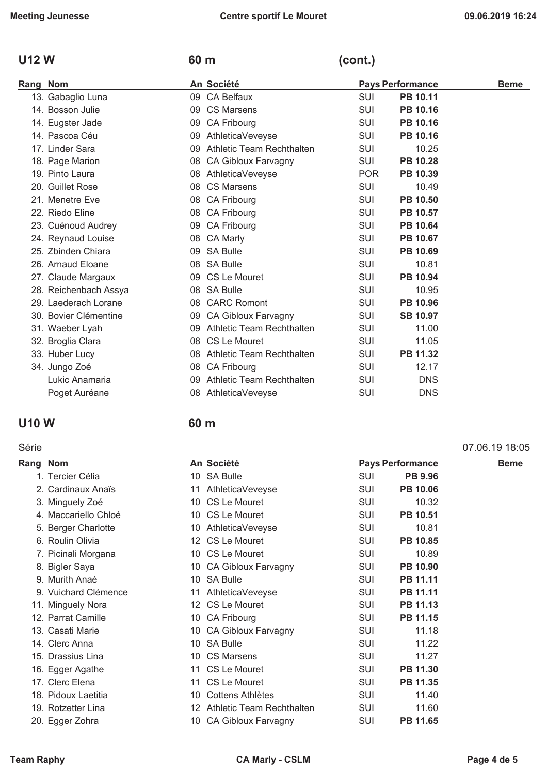#### **U12 W 60 m (cont.)**

#### Rang Nom **Beme An Société Pays Performance** Beme 13. Gabaglio Luna **13. Gabaglio Luna 13. Gabaglio Luna 14. Album 09 CA Belfaux 14. SUI PB 10.11** 14. Bosson Julie 09 CS Marsens SUI **PB 10.16** 14. Eugster Jade 09 CA Fribourg SUI **PB 10.16** 14. Pascoa Céu 09 AthleticaVeveyse SUI **PB 10.16** 17. Linder Sara 09 Athletic Team Rechthalten SUI 10.25 18. Page Marion 08 CA Gibloux Farvagny SUI **PB 10.28** 19. Pinto Laura **Company 19. Port Control 19. Port Control 19. Port PB 10.39** 20. Guillet Rose **08 CS Marsens** SUI 10.49 21. Menetre Eve **08 CA Fribourg COUI PB 10.50** 22. Riedo Eline **Canada CA Fribourg CA Fribourg SUI PB 10.57** 23. Cuénoud Audrey **Cancer Cancer Cancer Cancer Cancer Cancer Cancer Cancer Cancer Cancer Cancer PB 10.64** 24. Reynaud Louise **08 CA Marly Communist CA Marly SUI PB 10.67** 25. Zbinden Chiara **09 SA Bulle Suite SUI PB 10.69** 26. Arnaud Eloane 08 SA Bulle SUI 10.81 27. Claude Margaux **09 CS Le Mouret 50 CS Le Mouret** SUI PB 10.94 28. Reichenbach Assya 08 SA Bulle SUI 10.95 29. Laederach Lorane 08 CARC Romont SUI **PB 10.96** 30. Bovier Clémentine 09 CA Gibloux Farvagny SUI **SB 10.97** 31. Waeber Lyah 09 Athletic Team Rechthalten SUI 11.00 32. Broglia Clara **11.05 12. Broglia Clara 11.05 11.05** 33. Huber Lucy 08 Athletic Team Rechthalten SUI **PB 11.32** 34. Jungo Zoé 08 CA Fribourg SUI 12.17 Lukic Anamaria 09 Athletic Team Rechthalten SUI DNS Poget Auréane **Carry Contract Contract Contract Contract Contract Contract Contract Contract Contract Contract Contract Contract Contract Contract Contract Contract Contract Contract Contract Contract Contract Contract Con**

#### **U10 W 60 m**

#### Série 07.06.19 18:05

| Rang Nom |                      | An Société |                            | <b>Pays Performance</b> |                 | <b>Beme</b> |
|----------|----------------------|------------|----------------------------|-------------------------|-----------------|-------------|
|          | 1. Tercier Célia     |            | 10 SA Bulle                | <b>SUI</b>              | <b>PB 9.96</b>  |             |
|          | 2. Cardinaux Anaïs   |            | 11 AthleticaVeveyse        | <b>SUI</b>              | <b>PB 10.06</b> |             |
|          | 3. Minguely Zoé      |            | 10 CS Le Mouret            | <b>SUI</b>              | 10.32           |             |
|          | 4. Maccariello Chloé |            | 10 CS Le Mouret            | <b>SUI</b>              | PB 10.51        |             |
|          | 5. Berger Charlotte  |            | 10 AthleticaVeveyse        | SUI                     | 10.81           |             |
|          | 6. Roulin Olivia     |            | 12 CS Le Mouret            | SUI                     | PB 10.85        |             |
|          | 7. Picinali Morgana  |            | 10 CS Le Mouret            | SUI                     | 10.89           |             |
|          | 8. Bigler Saya       |            | 10 CA Gibloux Farvagny     | <b>SUI</b>              | PB 10.90        |             |
|          | 9. Murith Anaé       |            | 10 SA Bulle                | <b>SUI</b>              | PB 11.11        |             |
|          | 9. Vuichard Clémence |            | 11 AthleticaVeveyse        | <b>SUI</b>              | PB 11.11        |             |
|          | 11. Minguely Nora    |            | 12 CS Le Mouret            | SUI                     | PB 11.13        |             |
|          | 12. Parrat Camille   |            | 10 CA Fribourg             | <b>SUI</b>              | PB 11.15        |             |
|          | 13. Casati Marie     |            | 10 CA Gibloux Farvagny     | <b>SUI</b>              | 11.18           |             |
|          | 14. Clerc Anna       |            | 10 SA Bulle                | <b>SUI</b>              | 11.22           |             |
|          | 15. Drassius Lina    |            | 10 CS Marsens              | <b>SUI</b>              | 11.27           |             |
|          | 16. Egger Agathe     |            | 11 CS Le Mouret            | SUI                     | PB 11.30        |             |
|          | 17. Clerc Elena      |            | 11 CS Le Mouret            | SUI                     | PB 11.35        |             |
|          | 18. Pidoux Laetitia  | 10         | Cottens Athlètes           | <b>SUI</b>              | 11.40           |             |
|          | 19. Rotzetter Lina   | 12         | Athletic Team Rechthalten  | <b>SUI</b>              | 11.60           |             |
|          | 20. Egger Zohra      | 10.        | <b>CA Gibloux Farvagny</b> | <b>SUI</b>              | PB 11.65        |             |